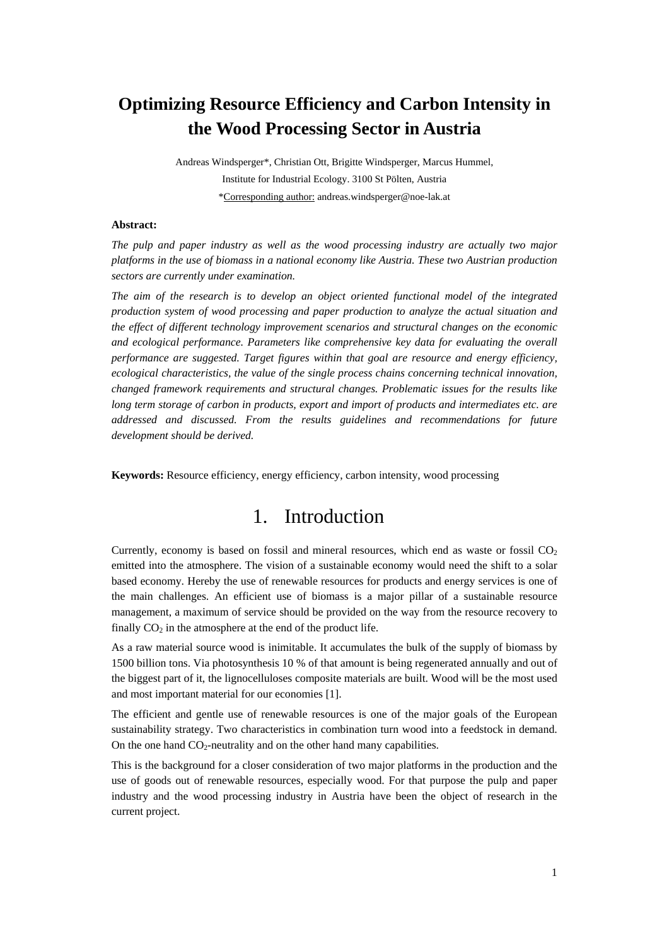# **Optimizing Resource Efficiency and Carbon Intensity in the Wood Processing Sector in Austria**

Andreas Windsperger\*, Christian Ott, Brigitte Windsperger, Marcus Hummel, Institute for Industrial Ecology. 3100 St Pölten, Austria \*Corresponding author: andreas.windsperger@noe-lak.at

#### **Abstract:**

*The pulp and paper industry as well as the wood processing industry are actually two major platforms in the use of biomass in a national economy like Austria. These two Austrian production sectors are currently under examination.* 

*The aim of the research is to develop an object oriented functional model of the integrated production system of wood processing and paper production to analyze the actual situation and the effect of different technology improvement scenarios and structural changes on the economic and ecological performance. Parameters like comprehensive key data for evaluating the overall performance are suggested. Target figures within that goal are resource and energy efficiency, ecological characteristics, the value of the single process chains concerning technical innovation, changed framework requirements and structural changes. Problematic issues for the results like long term storage of carbon in products, export and import of products and intermediates etc. are addressed and discussed. From the results guidelines and recommendations for future development should be derived.* 

**Keywords:** Resource efficiency, energy efficiency, carbon intensity, wood processing

# 1. Introduction

Currently, economy is based on fossil and mineral resources, which end as waste or fossil  $CO<sub>2</sub>$ emitted into the atmosphere. The vision of a sustainable economy would need the shift to a solar based economy. Hereby the use of renewable resources for products and energy services is one of the main challenges. An efficient use of biomass is a major pillar of a sustainable resource management, a maximum of service should be provided on the way from the resource recovery to finally  $CO<sub>2</sub>$  in the atmosphere at the end of the product life.

As a raw material source wood is inimitable. It accumulates the bulk of the supply of biomass by 1500 billion tons. Via photosynthesis 10 % of that amount is being regenerated annually and out of the biggest part of it, the lignocelluloses composite materials are built. Wood will be the most used and most important material for our economies [1].

The efficient and gentle use of renewable resources is one of the major goals of the European sustainability strategy. Two characteristics in combination turn wood into a feedstock in demand. On the one hand  $CO<sub>2</sub>$ -neutrality and on the other hand many capabilities.

This is the background for a closer consideration of two major platforms in the production and the use of goods out of renewable resources, especially wood. For that purpose the pulp and paper industry and the wood processing industry in Austria have been the object of research in the current project.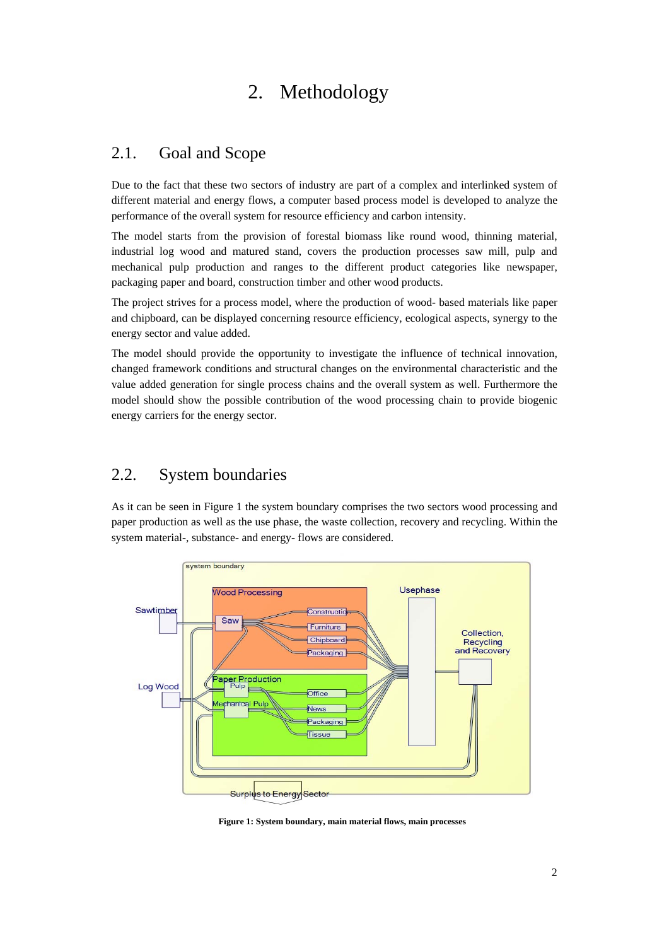# 2. Methodology

### 2.1. Goal and Scope

Due to the fact that these two sectors of industry are part of a complex and interlinked system of different material and energy flows, a computer based process model is developed to analyze the performance of the overall system for resource efficiency and carbon intensity.

The model starts from the provision of forestal biomass like round wood, thinning material, industrial log wood and matured stand, covers the production processes saw mill, pulp and mechanical pulp production and ranges to the different product categories like newspaper, packaging paper and board, construction timber and other wood products.

The project strives for a process model, where the production of wood- based materials like paper and chipboard, can be displayed concerning resource efficiency, ecological aspects, synergy to the energy sector and value added.

The model should provide the opportunity to investigate the influence of technical innovation, changed framework conditions and structural changes on the environmental characteristic and the value added generation for single process chains and the overall system as well. Furthermore the model should show the possible contribution of the wood processing chain to provide biogenic energy carriers for the energy sector.

### 2.2. System boundaries

As it can be seen in Figure 1 the system boundary comprises the two sectors wood processing and paper production as well as the use phase, the waste collection, recovery and recycling. Within the system material-, substance- and energy- flows are considered.



**Figure 1: System boundary, main material flows, main processes**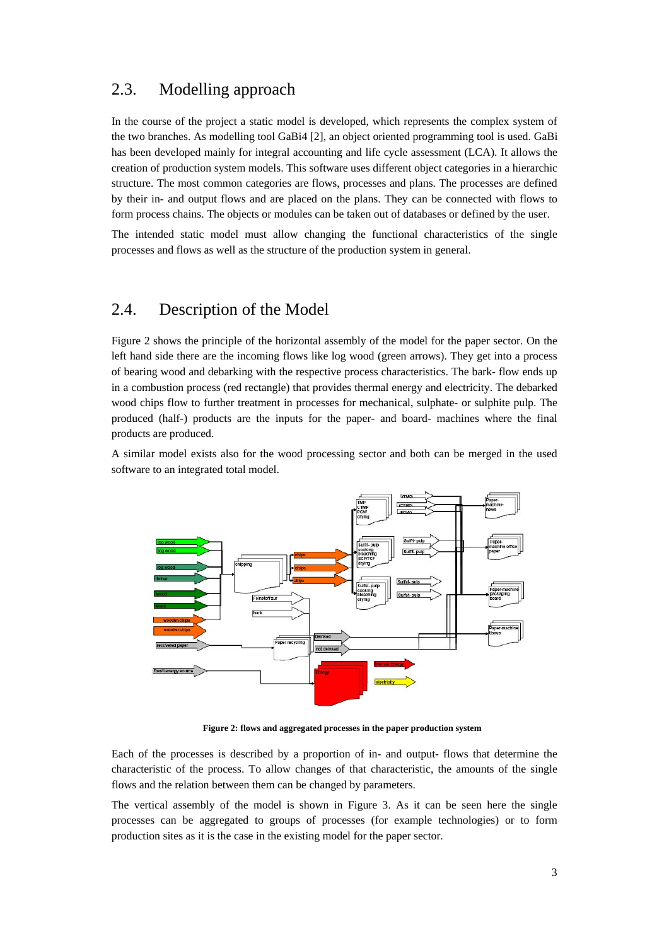#### 2.3. Modelling approach

In the course of the project a static model is developed, which represents the complex system of the two branches. As modelling tool GaBi4 [2], an object oriented programming tool is used. GaBi has been developed mainly for integral accounting and life cycle assessment (LCA). It allows the creation of production system models. This software uses different object categories in a hierarchic structure. The most common categories are flows, processes and plans. The processes are defined by their in- and output flows and are placed on the plans. They can be connected with flows to form process chains. The objects or modules can be taken out of databases or defined by the user.

The intended static model must allow changing the functional characteristics of the single processes and flows as well as the structure of the production system in general.

#### 2.4. Description of the Model

Figure 2 shows the principle of the horizontal assembly of the model for the paper sector. On the left hand side there are the incoming flows like log wood (green arrows). They get into a process of bearing wood and debarking with the respective process characteristics. The bark- flow ends up in a combustion process (red rectangle) that provides thermal energy and electricity. The debarked wood chips flow to further treatment in processes for mechanical, sulphate- or sulphite pulp. The produced (half-) products are the inputs for the paper- and board- machines where the final products are produced.

A similar model exists also for the wood processing sector and both can be merged in the used software to an integrated total model.



**Figure 2: flows and aggregated processes in the paper production system** 

Each of the processes is described by a proportion of in- and output- flows that determine the characteristic of the process. To allow changes of that characteristic, the amounts of the single flows and the relation between them can be changed by parameters.

The vertical assembly of the model is shown in Figure 3. As it can be seen here the single processes can be aggregated to groups of processes (for example technologies) or to form production sites as it is the case in the existing model for the paper sector.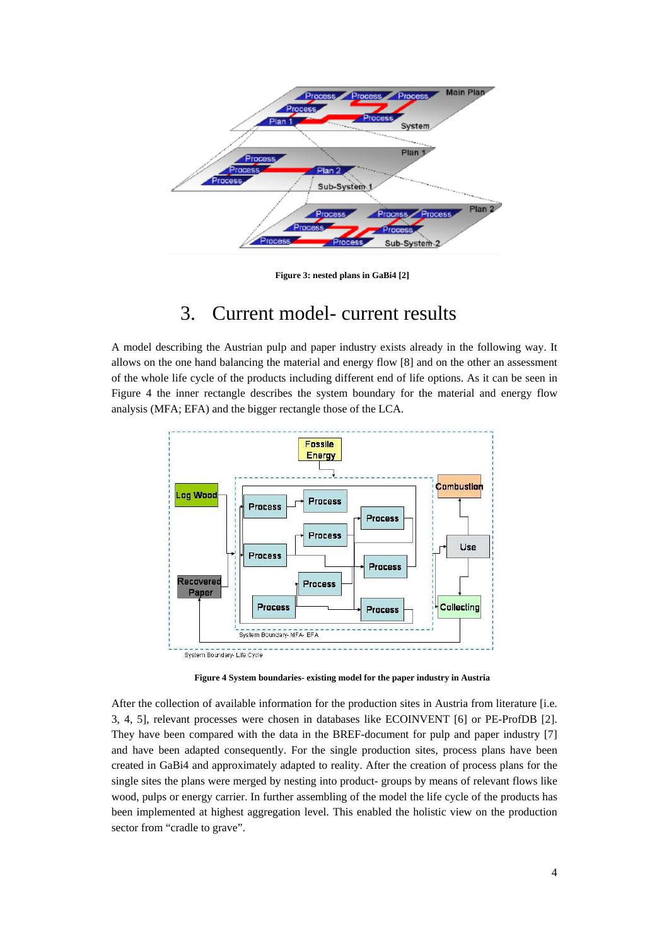

**Figure 3: nested plans in GaBi4 [2]** 

## 3. Current model- current results

A model describing the Austrian pulp and paper industry exists already in the following way. It allows on the one hand balancing the material and energy flow [8] and on the other an assessment of the whole life cycle of the products including different end of life options. As it can be seen in Figure 4 the inner rectangle describes the system boundary for the material and energy flow analysis (MFA; EFA) and the bigger rectangle those of the LCA.



**Figure 4 System boundaries- existing model for the paper industry in Austria** 

After the collection of available information for the production sites in Austria from literature [i.e. 3, 4, 5], relevant processes were chosen in databases like ECOINVENT [6] or PE-ProfDB [2]. They have been compared with the data in the BREF-document for pulp and paper industry [7] and have been adapted consequently. For the single production sites, process plans have been created in GaBi4 and approximately adapted to reality. After the creation of process plans for the single sites the plans were merged by nesting into product- groups by means of relevant flows like wood, pulps or energy carrier. In further assembling of the model the life cycle of the products has been implemented at highest aggregation level. This enabled the holistic view on the production sector from "cradle to grave".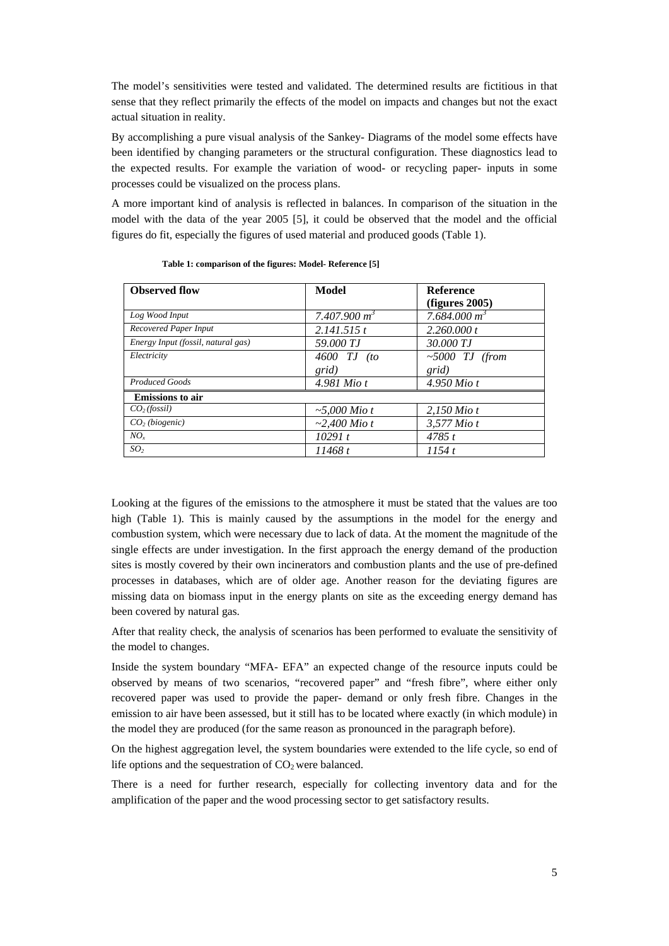The model's sensitivities were tested and validated. The determined results are fictitious in that sense that they reflect primarily the effects of the model on impacts and changes but not the exact actual situation in reality.

By accomplishing a pure visual analysis of the Sankey- Diagrams of the model some effects have been identified by changing parameters or the structural configuration. These diagnostics lead to the expected results. For example the variation of wood- or recycling paper- inputs in some processes could be visualized on the process plans.

A more important kind of analysis is reflected in balances. In comparison of the situation in the model with the data of the year 2005 [5], it could be observed that the model and the official figures do fit, especially the figures of used material and produced goods (Table 1).

| <b>Observed flow</b>               | Model              | <b>Reference</b> |
|------------------------------------|--------------------|------------------|
|                                    |                    | (figures 2005)   |
| Log Wood Input                     | 7.407.900 $m^3$    | 7.684.000 $m^3$  |
| Recovered Paper Input              | 2.141.515t         | 2.260,000 t      |
| Energy Input (fossil, natural gas) | 59.000 TJ          | 30.000 TJ        |
| Electricity                        | $4600$ TJ $(to$    | $~5000$ TJ (from |
|                                    | grid)              | grid)            |
| <b>Produced Goods</b>              | 4.981 Mio t        | $4.950$ Mio t    |
| <b>Emissions</b> to air            |                    |                  |
| CO <sub>2</sub> (fossil)           | $\sim 5,000$ Mio t | $2,150$ Mio t    |
| CO <sub>2</sub> (biogenic)         | $\sim$ 2,400 Mio t | 3,577 Mio t      |
| $NO_{r}$                           | 10291 t            | 4785t            |
| SO <sub>2</sub>                    | 11468 t            | 1154t            |

Looking at the figures of the emissions to the atmosphere it must be stated that the values are too high (Table 1). This is mainly caused by the assumptions in the model for the energy and combustion system, which were necessary due to lack of data. At the moment the magnitude of the single effects are under investigation. In the first approach the energy demand of the production sites is mostly covered by their own incinerators and combustion plants and the use of pre-defined processes in databases, which are of older age. Another reason for the deviating figures are missing data on biomass input in the energy plants on site as the exceeding energy demand has been covered by natural gas.

After that reality check, the analysis of scenarios has been performed to evaluate the sensitivity of the model to changes.

Inside the system boundary "MFA- EFA" an expected change of the resource inputs could be observed by means of two scenarios, "recovered paper" and "fresh fibre", where either only recovered paper was used to provide the paper- demand or only fresh fibre. Changes in the emission to air have been assessed, but it still has to be located where exactly (in which module) in the model they are produced (for the same reason as pronounced in the paragraph before).

On the highest aggregation level, the system boundaries were extended to the life cycle, so end of life options and the sequestration of  $CO<sub>2</sub>$  were balanced.

There is a need for further research, especially for collecting inventory data and for the amplification of the paper and the wood processing sector to get satisfactory results.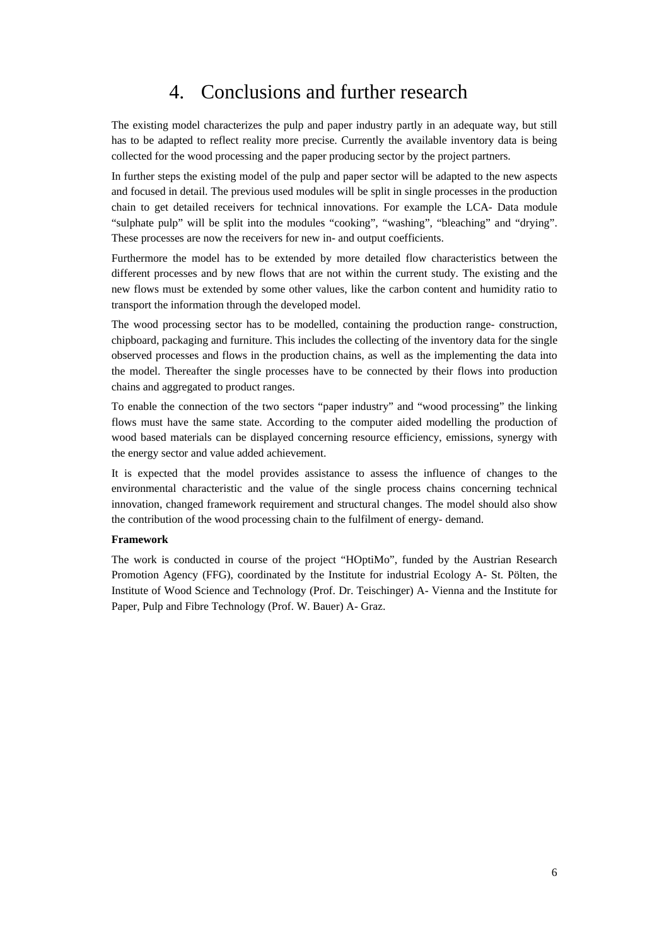### 4. Conclusions and further research

The existing model characterizes the pulp and paper industry partly in an adequate way, but still has to be adapted to reflect reality more precise. Currently the available inventory data is being collected for the wood processing and the paper producing sector by the project partners.

In further steps the existing model of the pulp and paper sector will be adapted to the new aspects and focused in detail. The previous used modules will be split in single processes in the production chain to get detailed receivers for technical innovations. For example the LCA- Data module "sulphate pulp" will be split into the modules "cooking", "washing", "bleaching" and "drying". These processes are now the receivers for new in- and output coefficients.

Furthermore the model has to be extended by more detailed flow characteristics between the different processes and by new flows that are not within the current study. The existing and the new flows must be extended by some other values, like the carbon content and humidity ratio to transport the information through the developed model.

The wood processing sector has to be modelled, containing the production range- construction, chipboard, packaging and furniture. This includes the collecting of the inventory data for the single observed processes and flows in the production chains, as well as the implementing the data into the model. Thereafter the single processes have to be connected by their flows into production chains and aggregated to product ranges.

To enable the connection of the two sectors "paper industry" and "wood processing" the linking flows must have the same state. According to the computer aided modelling the production of wood based materials can be displayed concerning resource efficiency, emissions, synergy with the energy sector and value added achievement.

It is expected that the model provides assistance to assess the influence of changes to the environmental characteristic and the value of the single process chains concerning technical innovation, changed framework requirement and structural changes. The model should also show the contribution of the wood processing chain to the fulfilment of energy- demand.

#### **Framework**

The work is conducted in course of the project "HOptiMo", funded by the Austrian Research Promotion Agency (FFG), coordinated by the Institute for industrial Ecology A- St. Pölten, the Institute of Wood Science and Technology (Prof. Dr. Teischinger) A- Vienna and the Institute for Paper, Pulp and Fibre Technology (Prof. W. Bauer) A- Graz.